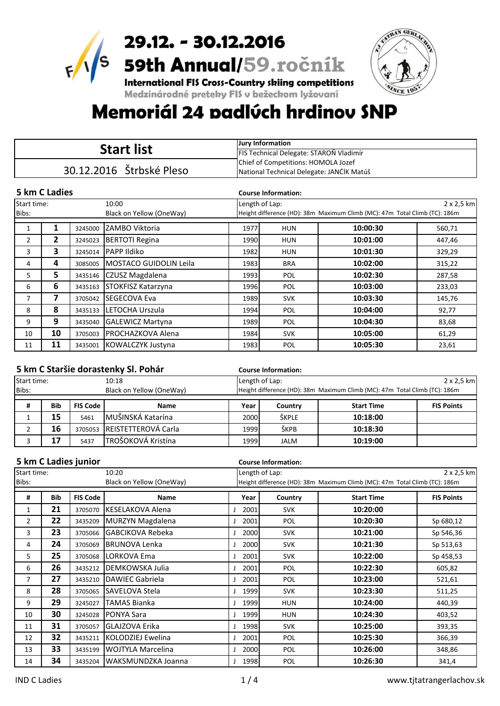

 $F/N$ <sup>S</sup> 59th Annual/59.ročník<br>International FIS Cross-Country skiing competition 29.12. - 30.12.2016

RAN GER

**International FIS Cross-Country skiing competitions** Medzinárodné preteky FIS v bežeckom lyžovaní

## Memoriál 24 padlúch hrdinov SNP

|                |                   |         |                               | <b>Jury Information</b> |                                         |                                                                            |            |  |  |  |
|----------------|-------------------|---------|-------------------------------|-------------------------|-----------------------------------------|----------------------------------------------------------------------------|------------|--|--|--|
|                | <b>Start list</b> |         |                               |                         | FIS Technical Delegate: STAROŇ Vladimír |                                                                            |            |  |  |  |
|                |                   |         |                               |                         | Chief of Competitions: HOMOLA Jozef     |                                                                            |            |  |  |  |
|                |                   |         | 30.12.2016 Štrbské Pleso      |                         |                                         | National Technical Delegate: JANČÍK Matúš                                  |            |  |  |  |
|                |                   |         |                               |                         |                                         |                                                                            |            |  |  |  |
|                | 5 km C Ladies     |         |                               |                         | <b>Course Information:</b>              |                                                                            |            |  |  |  |
| Start time:    |                   |         | 10:00                         | Length of Lap:          |                                         |                                                                            | 2 x 2,5 km |  |  |  |
| Bibs:          |                   |         | Black on Yellow (OneWay)      |                         |                                         | Height difference (HD): 38m Maximum Climb (MC): 47m Total Climb (TC): 186m |            |  |  |  |
| 1              | 1                 | 3245000 | ZAMBO Viktoria                | 1977                    | <b>HUN</b>                              | 10:00:30                                                                   | 560,71     |  |  |  |
| $\overline{2}$ | 2                 | 3245023 | <b>BERTOTI Regina</b>         | 1990                    | <b>HUN</b>                              | 10:01:00                                                                   | 447,46     |  |  |  |
| 3              | 3                 | 3245014 | <b>PAPP Ildiko</b>            | 1982                    | <b>HUN</b>                              | 10:01:30                                                                   | 329,29     |  |  |  |
| 4              | 4                 | 3085005 | <b>MOSTACO GUIDOLIN Leila</b> | 1983                    | <b>BRA</b>                              | 10:02:00                                                                   | 315,22     |  |  |  |
| 5              | 5                 | 3435146 | CZUSZ Magdalena               | 1993                    | <b>POL</b>                              | 10:02:30                                                                   | 287,58     |  |  |  |
| 6              | 6                 | 3435163 | STOKFISZ Katarzyna            | 1996                    | <b>POL</b>                              | 10:03:00                                                                   | 233,03     |  |  |  |
| 7              | 7                 | 3705042 | SEGECOVA Eva                  | 1989                    | <b>SVK</b>                              | 10:03:30                                                                   | 145,76     |  |  |  |
| 8              | 8                 | 3435133 | LETOCHA Urszula               | 1994                    | <b>POL</b>                              | 10:04:00                                                                   | 92,77      |  |  |  |
| 9              | 9                 | 3435040 | <b>GALEWICZ Martyna</b>       | 1989                    | POL                                     | 10:04:30                                                                   | 83,68      |  |  |  |
| 10             | 10                | 3705003 | <b>PROCHAZKOVA Alena</b>      | 1984                    | <b>SVK</b>                              | 10:05:00                                                                   | 61,29      |  |  |  |

## **5 km C Staršie dorastenky SI. Pohár SPACE 10. SECOURT 10. SOCIET 10. SOCIET 10. SOCIET 10. SOCIET 10. SOCIET 10. SOCIET 10. SOCIET 10. SOCIET 10. SOCIET 10. SOCIET 10. SOCIET 10. SOCIET 10. SOCIET 10. SOCIET 10. SOCIET**

| Start time:<br>Bibs: |     | 10:18<br>Black on Yellow (OneWay) |                             | Length of Lap: | Height difference (HD): 38m Maximum Climb (MC): 47m Total Climb (TC): 186m | $2 \times 2.5$ km |                   |
|----------------------|-----|-----------------------------------|-----------------------------|----------------|----------------------------------------------------------------------------|-------------------|-------------------|
| #                    | Bib | <b>FIS Code</b>                   | <b>Name</b>                 | Year           | Country                                                                    | <b>Start Time</b> | <b>FIS Points</b> |
|                      | 15  | 5461                              | MUŠINSKÁ Katarína           | 2000           | ŠKPLE                                                                      | 10:18:00          |                   |
|                      | 16  |                                   | 3705053 REISTETTEROVÁ Carla | 1999           | ŠKPB                                                                       | 10:18:30          |                   |
|                      | 17  | 5437                              | TROŠOKOVÁ Kristína          | 1999           | <b>JALM</b>                                                                | 10:19:00          |                   |

11 **11** 3435001 KOWALCZYK Justyna 1983 POL **10:05:30** 23,61

| 5 km C Ladies junior |             |                 |                                   |  |                                                                                                            | <b>Course Information:</b> |                   |                   |  |  |
|----------------------|-------------|-----------------|-----------------------------------|--|------------------------------------------------------------------------------------------------------------|----------------------------|-------------------|-------------------|--|--|
| Bibs:                | Start time: |                 | 10:20<br>Black on Yellow (OneWay) |  | 2 x 2,5 km<br>Length of Lap:<br>Height difference (HD): 38m Maximum Climb (MC): 47m Total Climb (TC): 186m |                            |                   |                   |  |  |
| #                    | Bib         | <b>FIS Code</b> | Name                              |  | Year                                                                                                       | Country                    | <b>Start Time</b> | <b>FIS Points</b> |  |  |
| 1                    | 21          | 3705070         | <b>KESELAKOVA Alena</b>           |  | 2001                                                                                                       | <b>SVK</b>                 | 10:20:00          |                   |  |  |
| $\overline{2}$       | 22          | 3435209         | MURZYN Magdalena                  |  | 2001                                                                                                       | <b>POL</b>                 | 10:20:30          | Sp 680,12         |  |  |
| 3                    | 23          | 3705066         | <b>GABCIKOVA Rebeka</b>           |  | 2000                                                                                                       | <b>SVK</b>                 | 10:21:00          | Sp 546,36         |  |  |
| 4                    | 24          | 3705069         | <b>BRUNOVA Lenka</b>              |  | 2000                                                                                                       | <b>SVK</b>                 | 10:21:30          | Sp 513,63         |  |  |
| 5                    | 25          | 3705068         | LORKOVA Ema                       |  | 2001                                                                                                       | <b>SVK</b>                 | 10:22:00          | Sp 458,53         |  |  |
| 6                    | 26          | 3435212         | DEMKOWSKA Julia                   |  | 2001                                                                                                       | POL                        | 10:22:30          | 605,82            |  |  |
| 7                    | 27          | 3435210         | DAWIEC Gabriela                   |  | 2001                                                                                                       | <b>POL</b>                 | 10:23:00          | 521,61            |  |  |
| 8                    | 28          | 3705065         | <b>SAVELOVA Stela</b>             |  | 1999                                                                                                       | <b>SVK</b>                 | 10:23:30          | 511,25            |  |  |
| 9                    | 29          | 3245027         | <b>TAMAS Bianka</b>               |  | 1999                                                                                                       | <b>HUN</b>                 | 10:24:00          | 440,39            |  |  |
| 10                   | 30          | 3245028         | <b>PONYA Sara</b>                 |  | 1999                                                                                                       | <b>HUN</b>                 | 10:24:30          | 403,52            |  |  |
| 11                   | 31          | 3705057         | <b>GLAJZOVA Erika</b>             |  | 1998                                                                                                       | <b>SVK</b>                 | 10:25:00          | 393,35            |  |  |
| 12                   | 32          | 3435211         | <b>KOLODZIEJ Ewelina</b>          |  | 2001                                                                                                       | POL                        | 10:25:30          | 366,39            |  |  |
| 13                   | 33          | 3435199         | <b>WOJTYLA Marcelina</b>          |  | 2000                                                                                                       | <b>POL</b>                 | 10:26:00          | 348,86            |  |  |
| 14                   | 34          | 3435204         | WAKSMUNDZKA Joanna                |  | 1998                                                                                                       | POL                        | 10:26:30          | 341,4             |  |  |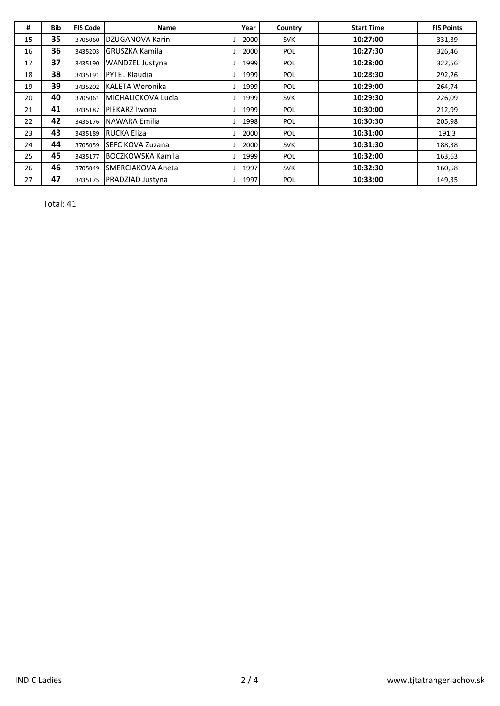| #  | Bib | <b>FIS Code</b> | Name                      | Year | Country    | <b>Start Time</b> | <b>FIS Points</b> |
|----|-----|-----------------|---------------------------|------|------------|-------------------|-------------------|
| 15 | 35  | 3705060         | DZUGANOVA Karin           | 2000 | <b>SVK</b> | 10:27:00          | 331,39            |
| 16 | 36  | 3435203         | <b>GRUSZKA Kamila</b>     | 2000 | <b>POL</b> | 10:27:30          | 326,46            |
| 17 | 37  | 3435190         | <b>WANDZEL Justyna</b>    | 1999 | POL        | 10:28:00          | 322,56            |
| 18 | 38  | 3435191         | <b>PYTEL Klaudia</b>      | 1999 | <b>POL</b> | 10:28:30          | 292,26            |
| 19 | 39  | 3435202         | <b>KALETA Weronika</b>    | 1999 | POL        | 10:29:00          | 264,74            |
| 20 | 40  | 3705061         | <b>MICHALICKOVA Lucia</b> | 1999 | <b>SVK</b> | 10:29:30          | 226,09            |
| 21 | 41  | 3435187         | PIEKARZ Iwona             | 1999 | <b>POL</b> | 10:30:00          | 212,99            |
| 22 | 42  | 3435176         | NAWARA Emilia             | 1998 | POL        | 10:30:30          | 205,98            |
| 23 | 43  | 3435189         | <b>RUCKA Eliza</b>        | 2000 | <b>POL</b> | 10:31:00          | 191,3             |
| 24 | 44  | 3705059         | SEFCIKOVA Zuzana          | 2000 | <b>SVK</b> | 10:31:30          | 188,38            |
| 25 | 45  | 3435177         | <b>BOCZKOWSKA Kamila</b>  | 1999 | POL        | 10:32:00          | 163,63            |
| 26 | 46  | 3705049         | <b>SMERCIAKOVA Aneta</b>  | 1997 | <b>SVK</b> | 10:32:30          | 160,58            |
| 27 | 47  | 3435175         | PRADZIAD Justyna          | 1997 | <b>POL</b> | 10:33:00          | 149,35            |

Total: 41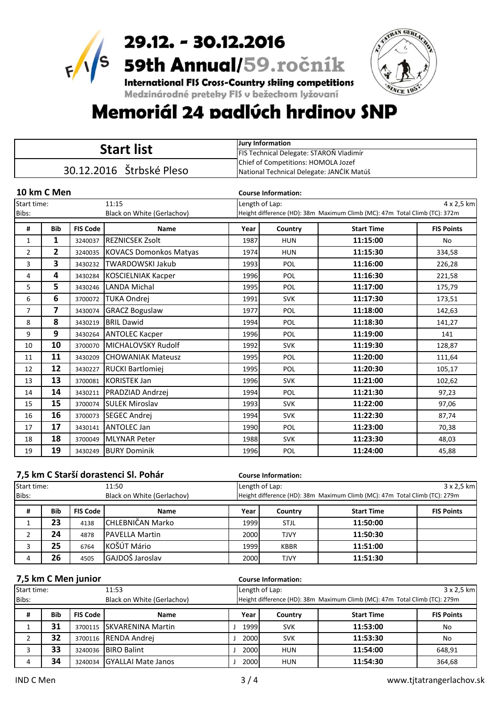

29.12. - 30.12.2016 59th Annual/59.ročník

**International FIS Cross-Country skiing competitions** Medzinárodné preteky FIS v bežeckom lyžovaní



## Memoriál 24 padlúch hrdinov SNP

|                |             |                 |                                |                | <b>Jury Information</b>                 |                                                                            |                   |  |  |  |
|----------------|-------------|-----------------|--------------------------------|----------------|-----------------------------------------|----------------------------------------------------------------------------|-------------------|--|--|--|
|                |             |                 | <b>Start list</b>              |                | FIS Technical Delegate: STAROŇ Vladimír |                                                                            |                   |  |  |  |
|                |             |                 |                                |                | Chief of Competitions: HOMOLA Jozef     |                                                                            |                   |  |  |  |
|                |             |                 | 30.12.2016 Štrbské Pleso       |                |                                         | National Technical Delegate: JANČÍK Matúš                                  |                   |  |  |  |
|                |             |                 |                                |                |                                         |                                                                            |                   |  |  |  |
|                | 10 km C Men |                 |                                |                | <b>Course Information:</b>              |                                                                            |                   |  |  |  |
| Start time:    |             |                 | 11:15                          | Length of Lap: |                                         |                                                                            | 4 x 2,5 km        |  |  |  |
| Bibs:          |             |                 | Black on White (Gerlachov)     |                |                                         | Height difference (HD): 38m Maximum Climb (MC): 47m Total Climb (TC): 372m |                   |  |  |  |
| #              | <b>Bib</b>  | <b>FIS Code</b> | <b>Name</b>                    | Year           | Country                                 | <b>Start Time</b>                                                          | <b>FIS Points</b> |  |  |  |
| $\mathbf{1}$   | 1           | 3240037         | <b>REZNICSEK Zsolt</b>         | 1987           | <b>HUN</b>                              | 11:15:00                                                                   | <b>No</b>         |  |  |  |
| $\overline{2}$ | 2           |                 | 3240035 KOVACS Domonkos Matyas | 1974           | <b>HUN</b>                              | 11:15:30                                                                   | 334,58            |  |  |  |
| 3              | 3           | 3430232         | <b>TWARDOWSKI Jakub</b>        | 1993           | POL                                     | 11:16:00                                                                   | 226,28            |  |  |  |
| 4              | 4           | 3430284         | KOSCIELNIAK Kacper             | 1996           | POL                                     | 11:16:30                                                                   | 221,58            |  |  |  |
| 5              | 5           | 3430246         | <b>LANDA Michal</b>            | 1995           | POL                                     | 11:17:00                                                                   | 175,79            |  |  |  |
| 6              | 6           | 3700072         | <b>TUKA Ondrej</b>             | 1991           | <b>SVK</b>                              | 11:17:30                                                                   | 173,51            |  |  |  |
| $\overline{7}$ | 7           | 3430074         | <b>GRACZ Boguslaw</b>          | 1977           | POL                                     | 11:18:00                                                                   | 142,63            |  |  |  |
| 8              | 8           | 3430219         | <b>BRIL Dawid</b>              | 1994           | <b>POL</b>                              | 11:18:30                                                                   | 141,27            |  |  |  |
| 9              | 9           | 3430264         | <b>ANTOLEC Kacper</b>          | 1996           | POL                                     | 11:19:00                                                                   | 141               |  |  |  |
| 10             | 10          | 3700070         | MICHALOVSKY Rudolf             | 1992           | <b>SVK</b>                              | 11:19:30                                                                   | 128,87            |  |  |  |
| 11             | 11          | 3430209         | <b>CHOWANIAK Mateusz</b>       | 1995           | POL                                     | 11:20:00                                                                   | 111,64            |  |  |  |
| 12             | 12          | 3430227         | <b>RUCKI Bartlomiej</b>        | 1995           | POL                                     | 11:20:30                                                                   | 105,17            |  |  |  |
| 13             | 13          | 3700081         | <b>KORISTEK Jan</b>            | 1996           | <b>SVK</b>                              | 11:21:00                                                                   | 102,62            |  |  |  |
| 14             | 14          | 3430211         | PRADZIAD Andrzej               | 1994           | POL                                     | 11:21:30                                                                   | 97,23             |  |  |  |
| 15             | 15          | 3700074         | <b>SULEK Miroslav</b>          | 1993           | <b>SVK</b>                              | 11:22:00                                                                   | 97,06             |  |  |  |
| 16             | 16          | 3700073         | <b>SEGEC Andrej</b>            | 1994           | <b>SVK</b>                              | 11:22:30                                                                   | 87,74             |  |  |  |
| 17             | 17          | 3430141         | <b>ANTOLEC Jan</b>             | 1990           | POL                                     | 11:23:00                                                                   | 70,38             |  |  |  |
| 18             | 18          | 3700049         | <b>MLYNAR Peter</b>            | 1988           | <b>SVK</b>                              | 11:23:30                                                                   | 48,03             |  |  |  |
| 19             | 19          | 3430249         | <b>BURY Dominik</b>            | 1996           | POL                                     | 11:24:00                                                                   | 45,88             |  |  |  |

|                                     |     |                 | 7,5 km C Starší dorastenci SI. Pohár                                       |                | <b>Course Information:</b> |                   |                   |  |  |  |
|-------------------------------------|-----|-----------------|----------------------------------------------------------------------------|----------------|----------------------------|-------------------|-------------------|--|--|--|
| Start time:                         |     |                 | 11:50                                                                      | Length of Lap: |                            |                   | $3 \times 2.5$ km |  |  |  |
| Bibs:<br>Black on White (Gerlachov) |     |                 | Height difference (HD): 38m Maximum Climb (MC): 47m Total Climb (TC): 279m |                |                            |                   |                   |  |  |  |
| #                                   | Bib | <b>FIS Code</b> | <b>Name</b>                                                                | Year           | Country                    | <b>Start Time</b> | <b>FIS Points</b> |  |  |  |
|                                     | 23  | 4138            | CHLEBNIČAN Marko                                                           | 1999           | <b>STJL</b>                | 11:50:00          |                   |  |  |  |
| 2                                   | 24  | 4878            | <b>PAVELLA Martin</b>                                                      | 2000           | <b>TJVY</b>                | 11:50:30          |                   |  |  |  |
| 3                                   | 25  | 6764            | KOŠÚT Mário                                                                | 1999           | <b>KBBR</b>                | 11:51:00          |                   |  |  |  |
| 4                                   | 26  | 4505            | GAJDOŠ Jaroslav                                                            | 2000           | <b>TJVY</b>                | 11:51:30          |                   |  |  |  |

| 7,5 km C Men junior |     |                 |                            |  | <b>Course Information:</b>                                                 |            |                   |                   |  |
|---------------------|-----|-----------------|----------------------------|--|----------------------------------------------------------------------------|------------|-------------------|-------------------|--|
| Start time:         |     |                 | 11:53                      |  | Length of Lap:                                                             |            |                   | 3 x 2,5 km        |  |
| Bibs:               |     |                 | Black on White (Gerlachov) |  | Height difference (HD): 38m Maximum Climb (MC): 47m Total Climb (TC): 279m |            |                   |                   |  |
| #                   | Bib | <b>FIS Code</b> | <b>Name</b>                |  | Year                                                                       | Country    | <b>Start Time</b> | <b>FIS Points</b> |  |
|                     | 31  | 3700115         | <b>ISKVARENINA Martin</b>  |  | 1999                                                                       | <b>SVK</b> | 11:53:00          | No                |  |
|                     | 32  |                 | 3700116 RENDA Andrej       |  | 2000                                                                       | <b>SVK</b> | 11:53:30          | No                |  |
|                     | 33  | 3240036         | <b>BIRO Balint</b>         |  | 2000                                                                       | <b>HUN</b> | 11:54:00          | 648,91            |  |
| 4                   | 34  |                 | 3240034 GYALLAI Mate Janos |  | 2000                                                                       | <b>HUN</b> | 11:54:30          | 364,68            |  |